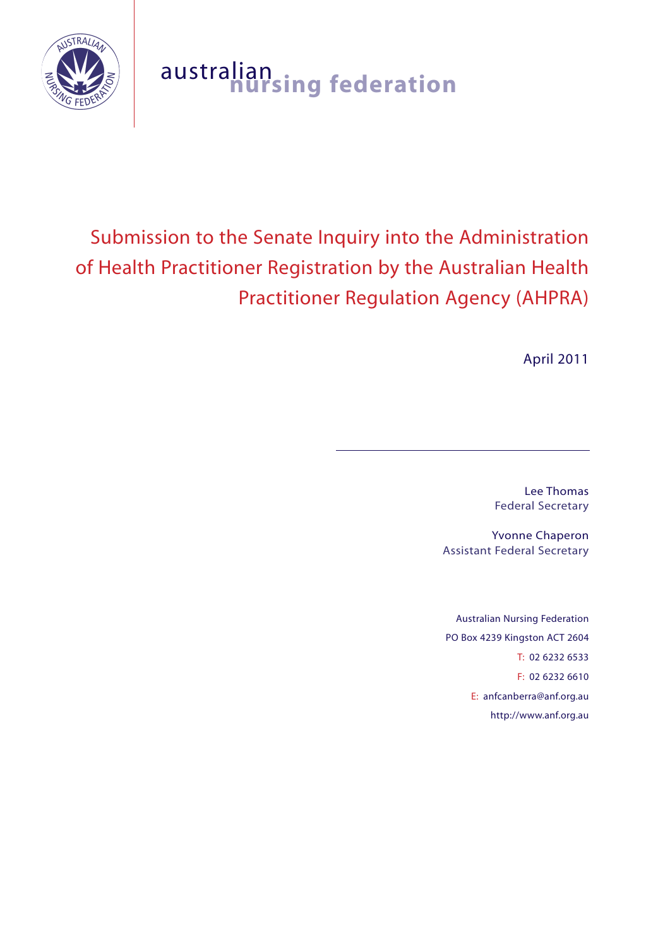

# australian **nursing federation**

# Submission to the Senate Inquiry into the Administration of Health Practitioner Registration by the Australian Health Practitioner Regulation Agency (AHPRA)

April 2011

Lee Thomas Federal Secretary

Yvonne Chaperon Assistant Federal Secretary

Australian Nursing Federation PO Box 4239 Kingston ACT 2604 T: 02 6232 6533 F: 02 6232 6610 E: anfcanberra@anf.org.au http://www.anf.org.au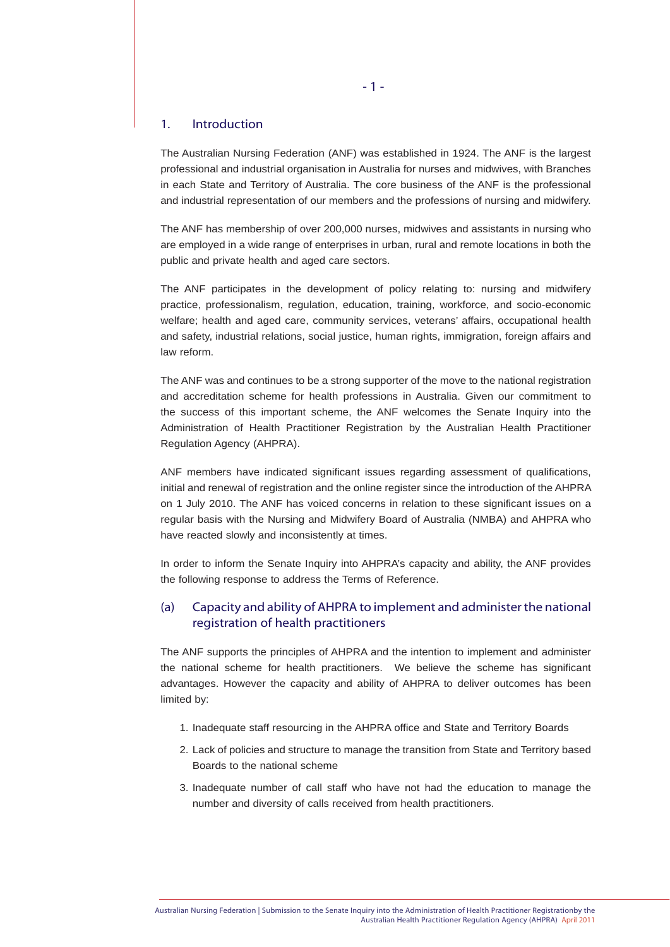#### 1. Introduction

The Australian Nursing Federation (ANF) was established in 1924. The ANF is the largest professional and industrial organisation in Australia for nurses and midwives, with Branches in each State and Territory of Australia. The core business of the ANF is the professional and industrial representation of our members and the professions of nursing and midwifery.

The ANF has membership of over 200,000 nurses, midwives and assistants in nursing who are employed in a wide range of enterprises in urban, rural and remote locations in both the public and private health and aged care sectors.

The ANF participates in the development of policy relating to: nursing and midwifery practice, professionalism, regulation, education, training, workforce, and socio-economic welfare; health and aged care, community services, veterans' affairs, occupational health and safety, industrial relations, social justice, human rights, immigration, foreign affairs and law reform.

The ANF was and continues to be a strong supporter of the move to the national registration and accreditation scheme for health professions in Australia. Given our commitment to the success of this important scheme, the ANF welcomes the Senate Inquiry into the Administration of Health Practitioner Registration by the Australian Health Practitioner Regulation Agency (AHPRA).

ANF members have indicated significant issues regarding assessment of qualifications, initial and renewal of registration and the online register since the introduction of the AHPRA on 1 July 2010. The ANF has voiced concerns in relation to these significant issues on a regular basis with the Nursing and Midwifery Board of Australia (NMBA) and AHPRA who have reacted slowly and inconsistently at times.

In order to inform the Senate Inquiry into AHPRA's capacity and ability, the ANF provides the following response to address the Terms of Reference.

# (a) Capacity and ability of AHPRA to implement and administer the national registration of health practitioners

The ANF supports the principles of AHPRA and the intention to implement and administer the national scheme for health practitioners. We believe the scheme has significant advantages. However the capacity and ability of AHPRA to deliver outcomes has been limited by:

- 1. Inadequate staff resourcing in the AHPRA office and State and Territory Boards
- 2. Lack of policies and structure to manage the transition from State and Territory based Boards to the national scheme
- 3. Inadequate number of call staff who have not had the education to manage the number and diversity of calls received from health practitioners.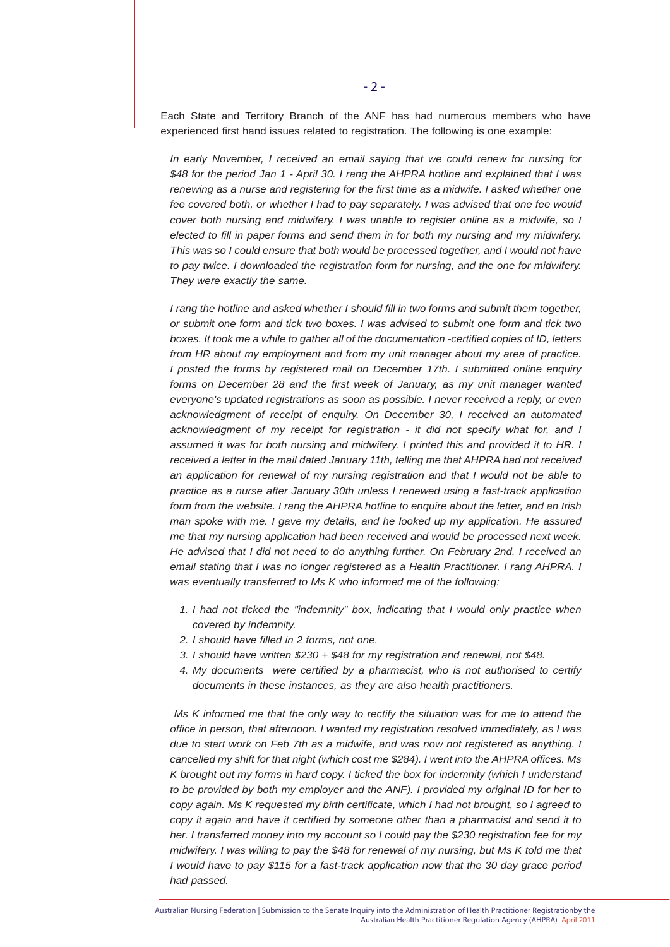Each State and Territory Branch of the ANF has had numerous members who have experienced first hand issues related to registration. The following is one example:

*In early November, I received an email saying that we could renew for nursing for \$48 for the period Jan 1 - April 30. I rang the AHPRA hotline and explained that I was renewing as a nurse and registering for the first time as a midwife. I asked whether one fee covered both, or whether I had to pay separately. I was advised that one fee would cover both nursing and midwifery. I was unable to register online as a midwife, so I elected to fill in paper forms and send them in for both my nursing and my midwifery. This was so I could ensure that both would be processed together, and I would not have to pay twice. I downloaded the registration form for nursing, and the one for midwifery. They were exactly the same.* 

*I rang the hotline and asked whether I should fill in two forms and submit them together, or submit one form and tick two boxes. I was advised to submit one form and tick two boxes. It took me a while to gather all of the documentation -certified copies of ID, letters from HR about my employment and from my unit manager about my area of practice. I posted the forms by registered mail on December 17th. I submitted online enquiry forms on December 28 and the first week of January, as my unit manager wanted everyone's updated registrations as soon as possible. I never received a reply, or even acknowledgment of receipt of enquiry. On December 30, I received an automated acknowledgment of my receipt for registration - it did not specify what for, and I assumed it was for both nursing and midwifery. I printed this and provided it to HR. I received a letter in the mail dated January 11th, telling me that AHPRA had not received an application for renewal of my nursing registration and that I would not be able to practice as a nurse after January 30th unless I renewed using a fast-track application form from the website. I rang the AHPRA hotline to enquire about the letter, and an Irish man spoke with me. I gave my details, and he looked up my application. He assured me that my nursing application had been received and would be processed next week. He advised that I did not need to do anything further. On February 2nd, I received an email stating that I was no longer registered as a Health Practitioner. I rang AHPRA. I was eventually transferred to Ms K who informed me of the following:* 

- *1. I had not ticked the "indemnity" box, indicating that I would only practice when covered by indemnity.*
- *2. I should have filled in 2 forms, not one.*
- *3. I should have written \$230 + \$48 for my registration and renewal, not \$48.*
- *4. My documents were certified by a pharmacist, who is not authorised to certify documents in these instances, as they are also health practitioners.*

 *Ms K informed me that the only way to rectify the situation was for me to attend the office in person, that afternoon. I wanted my registration resolved immediately, as I was due to start work on Feb 7th as a midwife, and was now not registered as anything. I cancelled my shift for that night (which cost me \$284). I went into the AHPRA offices. Ms K brought out my forms in hard copy. I ticked the box for indemnity (which I understand to be provided by both my employer and the ANF). I provided my original ID for her to copy again. Ms K requested my birth certificate, which I had not brought, so I agreed to copy it again and have it certified by someone other than a pharmacist and send it to her. I transferred money into my account so I could pay the \$230 registration fee for my midwifery. I was willing to pay the \$48 for renewal of my nursing, but Ms K told me that I would have to pay \$115 for a fast-track application now that the 30 day grace period had passed.*

Australian Nursing Federation | Submission to the Senate Inquiry into the Administration of Health Practitioner Registrationby the Australian Health Practitioner Regulation Agency (AHPRA) April 2011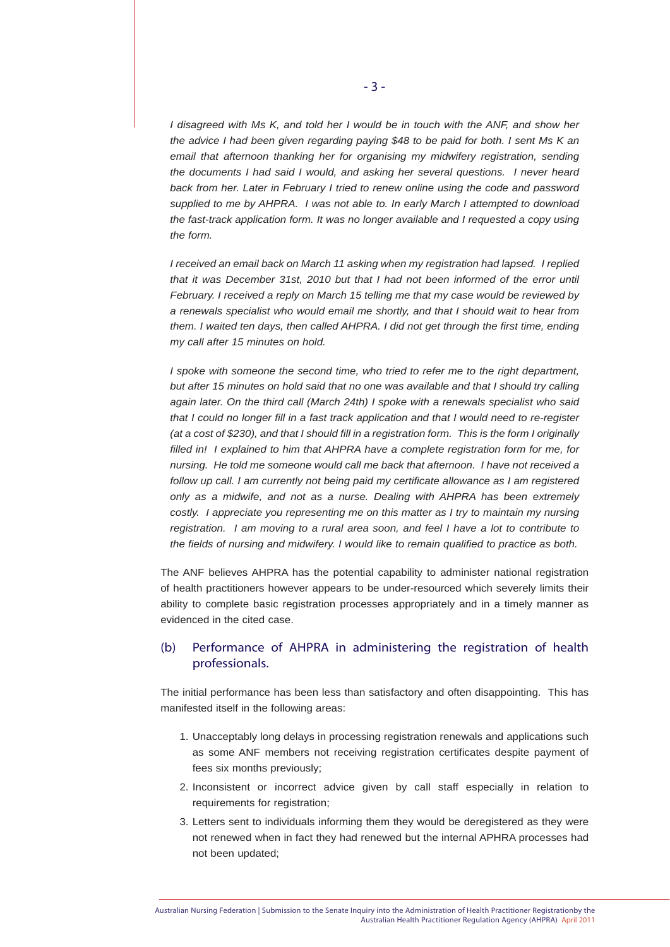*I* disagreed with Ms K, and told her I would be in touch with the ANF, and show her *the advice I had been given regarding paying \$48 to be paid for both. I sent Ms K an email that afternoon thanking her for organising my midwifery registration, sending the documents I had said I would, and asking her several questions. I never heard back from her. Later in February I tried to renew online using the code and password supplied to me by AHPRA. I was not able to. In early March I attempted to download the fast-track application form. It was no longer available and I requested a copy using the form.* 

*I received an email back on March 11 asking when my registration had lapsed. I replied*  that it was December 31st, 2010 but that I had not been informed of the error until *February. I received a reply on March 15 telling me that my case would be reviewed by a renewals specialist who would email me shortly, and that I should wait to hear from them. I waited ten days, then called AHPRA. I did not get through the first time, ending my call after 15 minutes on hold.* 

*I spoke with someone the second time, who tried to refer me to the right department, but after 15 minutes on hold said that no one was available and that I should try calling again later. On the third call (March 24th) I spoke with a renewals specialist who said that I could no longer fill in a fast track application and that I would need to re-register (at a cost of \$230), and that I should fill in a registration form. This is the form I originally*  filled in! I explained to him that AHPRA have a complete registration form for me, for *nursing. He told me someone would call me back that afternoon. I have not received a follow up call. I am currently not being paid my certificate allowance as I am registered only as a midwife, and not as a nurse. Dealing with AHPRA has been extremely costly. I appreciate you representing me on this matter as I try to maintain my nursing registration. I am moving to a rural area soon, and feel I have a lot to contribute to the fields of nursing and midwifery. I would like to remain qualified to practice as both.*

The ANF believes AHPRA has the potential capability to administer national registration of health practitioners however appears to be under-resourced which severely limits their ability to complete basic registration processes appropriately and in a timely manner as evidenced in the cited case.

# (b) Performance of AHPRA in administering the registration of health professionals.

The initial performance has been less than satisfactory and often disappointing. This has manifested itself in the following areas:

- 1. Unacceptably long delays in processing registration renewals and applications such as some ANF members not receiving registration certificates despite payment of fees six months previously;
- 2. Inconsistent or incorrect advice given by call staff especially in relation to requirements for registration;
- 3. Letters sent to individuals informing them they would be deregistered as they were not renewed when in fact they had renewed but the internal APHRA processes had not been updated;

Australian Nursing Federation | Submission to the Senate Inquiry into the Administration of Health Practitioner Registrationby the Australian Health Practitioner Regulation Agency (AHPRA) April 2011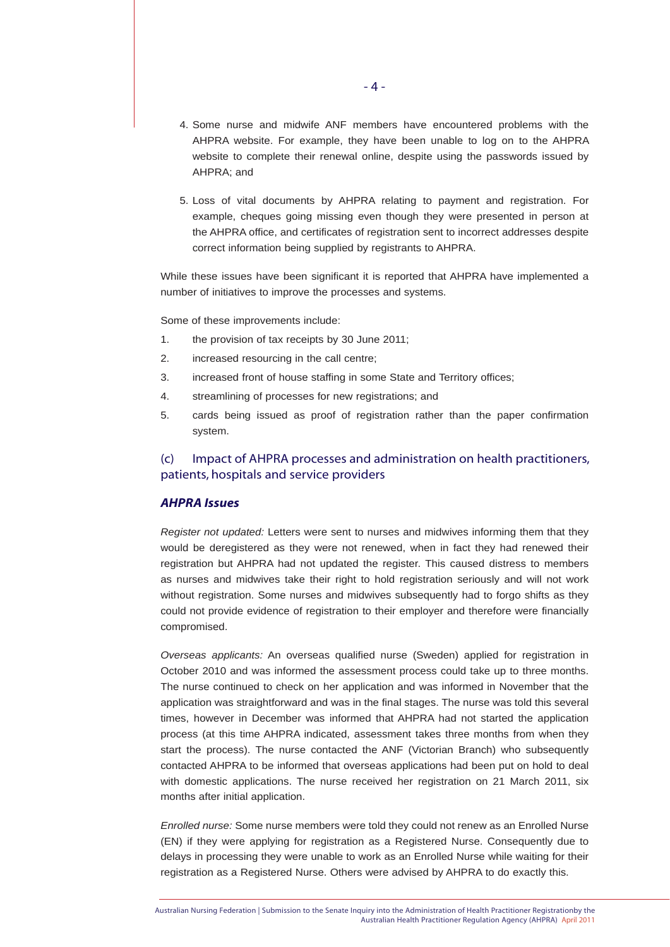- 4. Some nurse and midwife ANF members have encountered problems with the AHPRA website. For example, they have been unable to log on to the AHPRA website to complete their renewal online, despite using the passwords issued by AHPRA; and
- 5. Loss of vital documents by AHPRA relating to payment and registration. For example, cheques going missing even though they were presented in person at the AHPRA office, and certificates of registration sent to incorrect addresses despite correct information being supplied by registrants to AHPRA.

While these issues have been significant it is reported that AHPRA have implemented a number of initiatives to improve the processes and systems.

Some of these improvements include:

- 1. the provision of tax receipts by 30 June 2011;
- 2. increased resourcing in the call centre;
- 3. increased front of house staffing in some State and Territory offices;
- 4. streamlining of processes for new registrations; and
- 5. cards being issued as proof of registration rather than the paper confirmation system.

# (c) Impact of AHPRA processes and administration on health practitioners, patients, hospitals and service providers

#### *AHPRA Issues*

*Register not updated:* Letters were sent to nurses and midwives informing them that they would be deregistered as they were not renewed, when in fact they had renewed their registration but AHPRA had not updated the register. This caused distress to members as nurses and midwives take their right to hold registration seriously and will not work without registration. Some nurses and midwives subsequently had to forgo shifts as they could not provide evidence of registration to their employer and therefore were financially compromised.

*Overseas applicants:* An overseas qualified nurse (Sweden) applied for registration in October 2010 and was informed the assessment process could take up to three months. The nurse continued to check on her application and was informed in November that the application was straightforward and was in the final stages. The nurse was told this several times, however in December was informed that AHPRA had not started the application process (at this time AHPRA indicated, assessment takes three months from when they start the process). The nurse contacted the ANF (Victorian Branch) who subsequently contacted AHPRA to be informed that overseas applications had been put on hold to deal with domestic applications. The nurse received her registration on 21 March 2011, six months after initial application.

*Enrolled nurse:* Some nurse members were told they could not renew as an Enrolled Nurse (EN) if they were applying for registration as a Registered Nurse. Consequently due to delays in processing they were unable to work as an Enrolled Nurse while waiting for their registration as a Registered Nurse. Others were advised by AHPRA to do exactly this.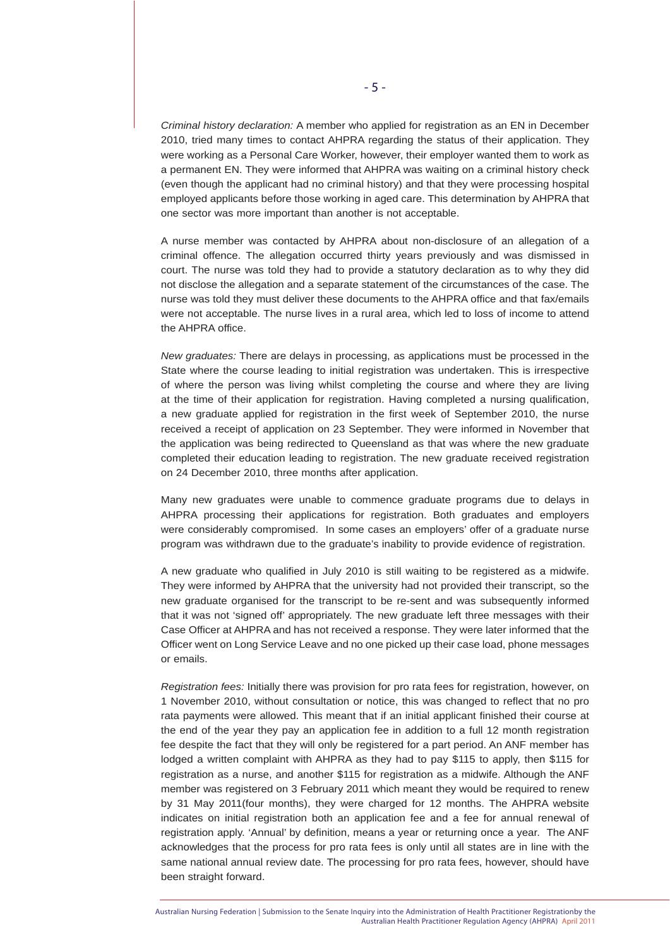*Criminal history declaration:* A member who applied for registration as an EN in December 2010, tried many times to contact AHPRA regarding the status of their application. They were working as a Personal Care Worker, however, their employer wanted them to work as a permanent EN. They were informed that AHPRA was waiting on a criminal history check (even though the applicant had no criminal history) and that they were processing hospital employed applicants before those working in aged care. This determination by AHPRA that one sector was more important than another is not acceptable.

A nurse member was contacted by AHPRA about non-disclosure of an allegation of a criminal offence. The allegation occurred thirty years previously and was dismissed in court. The nurse was told they had to provide a statutory declaration as to why they did not disclose the allegation and a separate statement of the circumstances of the case. The nurse was told they must deliver these documents to the AHPRA office and that fax/emails were not acceptable. The nurse lives in a rural area, which led to loss of income to attend the AHPRA office.

*New graduates:* There are delays in processing, as applications must be processed in the State where the course leading to initial registration was undertaken. This is irrespective of where the person was living whilst completing the course and where they are living at the time of their application for registration. Having completed a nursing qualification, a new graduate applied for registration in the first week of September 2010, the nurse received a receipt of application on 23 September. They were informed in November that the application was being redirected to Queensland as that was where the new graduate completed their education leading to registration. The new graduate received registration on 24 December 2010, three months after application.

Many new graduates were unable to commence graduate programs due to delays in AHPRA processing their applications for registration. Both graduates and employers were considerably compromised. In some cases an employers' offer of a graduate nurse program was withdrawn due to the graduate's inability to provide evidence of registration.

A new graduate who qualified in July 2010 is still waiting to be registered as a midwife. They were informed by AHPRA that the university had not provided their transcript, so the new graduate organised for the transcript to be re-sent and was subsequently informed that it was not 'signed off' appropriately. The new graduate left three messages with their Case Officer at AHPRA and has not received a response. They were later informed that the Officer went on Long Service Leave and no one picked up their case load, phone messages or emails.

*Registration fees:* Initially there was provision for pro rata fees for registration, however, on 1 November 2010, without consultation or notice, this was changed to reflect that no pro rata payments were allowed. This meant that if an initial applicant finished their course at the end of the year they pay an application fee in addition to a full 12 month registration fee despite the fact that they will only be registered for a part period. An ANF member has lodged a written complaint with AHPRA as they had to pay \$115 to apply, then \$115 for registration as a nurse, and another \$115 for registration as a midwife. Although the ANF member was registered on 3 February 2011 which meant they would be required to renew by 31 May 2011(four months), they were charged for 12 months. The AHPRA website indicates on initial registration both an application fee and a fee for annual renewal of registration apply. 'Annual' by definition, means a year or returning once a year. The ANF acknowledges that the process for pro rata fees is only until all states are in line with the same national annual review date. The processing for pro rata fees, however, should have been straight forward.

Australian Nursing Federation | Submission to the Senate Inquiry into the Administration of Health Practitioner Registrationby the Australian Health Practitioner Regulation Agency (AHPRA) April 2011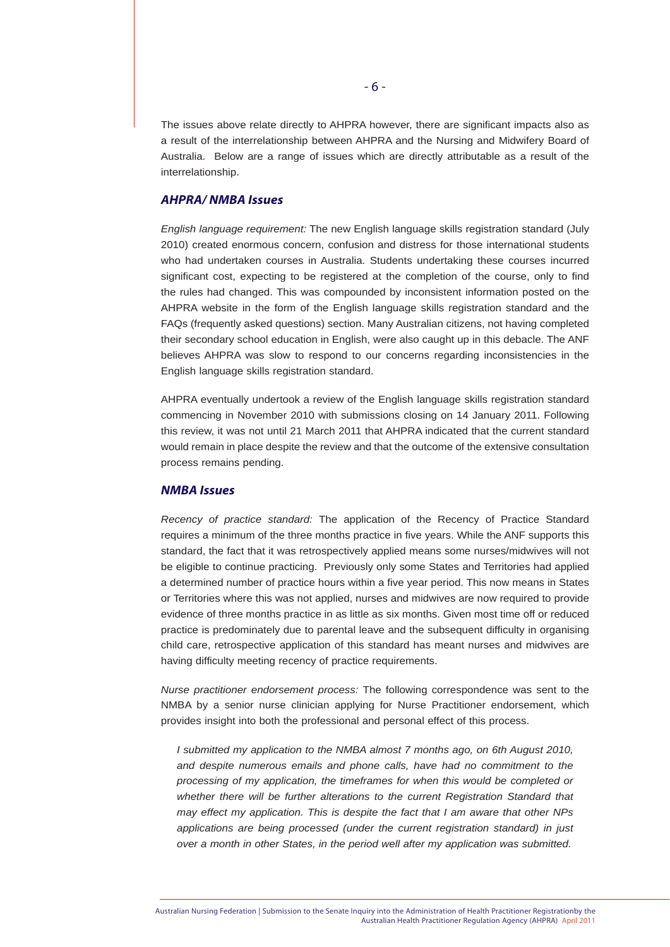The issues above relate directly to AHPRA however, there are significant impacts also as a result of the interrelationship between AHPRA and the Nursing and Midwifery Board of Australia. Below are a range of issues which are directly attributable as a result of the interrelationship.

#### *AHPRA/ NMBA Issues*

*English language requirement:* The new English language skills registration standard (July 2010) created enormous concern, confusion and distress for those international students who had undertaken courses in Australia. Students undertaking these courses incurred significant cost, expecting to be registered at the completion of the course, only to find the rules had changed. This was compounded by inconsistent information posted on the AHPRA website in the form of the English language skills registration standard and the FAQs (frequently asked questions) section. Many Australian citizens, not having completed their secondary school education in English, were also caught up in this debacle. The ANF believes AHPRA was slow to respond to our concerns regarding inconsistencies in the English language skills registration standard.

AHPRA eventually undertook a review of the English language skills registration standard commencing in November 2010 with submissions closing on 14 January 2011. Following this review, it was not until 21 March 2011 that AHPRA indicated that the current standard would remain in place despite the review and that the outcome of the extensive consultation process remains pending.

#### *NMBA Issues*

*Recency of practice standard:* The application of the Recency of Practice Standard requires a minimum of the three months practice in five years. While the ANF supports this standard, the fact that it was retrospectively applied means some nurses/midwives will not be eligible to continue practicing. Previously only some States and Territories had applied a determined number of practice hours within a five year period. This now means in States or Territories where this was not applied, nurses and midwives are now required to provide evidence of three months practice in as little as six months. Given most time off or reduced practice is predominately due to parental leave and the subsequent difficulty in organising child care, retrospective application of this standard has meant nurses and midwives are having difficulty meeting recency of practice requirements.

*Nurse practitioner endorsement process:* The following correspondence was sent to the NMBA by a senior nurse clinician applying for Nurse Practitioner endorsement, which provides insight into both the professional and personal effect of this process.

*I* submitted my application to the NMBA almost 7 months ago, on 6th August 2010, *and despite numerous emails and phone calls, have had no commitment to the processing of my application, the timeframes for when this would be completed or*  whether there will be further alterations to the current Registration Standard that *may effect my application. This is despite the fact that I am aware that other NPs applications are being processed (under the current registration standard) in just over a month in other States, in the period well after my application was submitted.*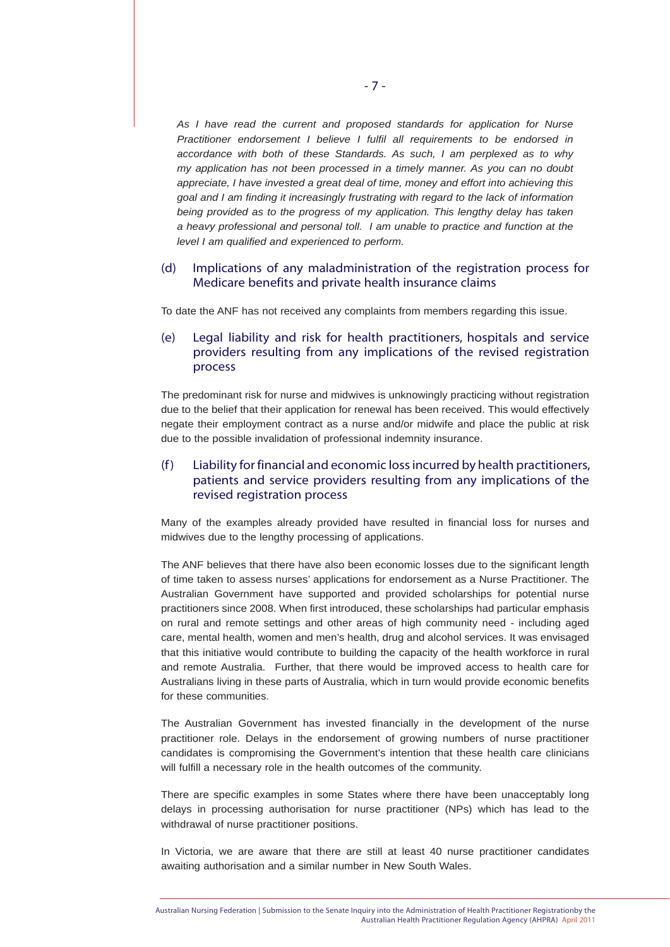*As I have read the current and proposed standards for application for Nurse Practitioner endorsement I believe I fulfil all requirements to be endorsed in accordance with both of these Standards. As such, I am perplexed as to why my application has not been processed in a timely manner. As you can no doubt appreciate, I have invested a great deal of time, money and effort into achieving this goal and I am finding it increasingly frustrating with regard to the lack of information being provided as to the progress of my application. This lengthy delay has taken a heavy professional and personal toll. I am unable to practice and function at the level I am qualified and experienced to perform.*

#### (d) Implications of any maladministration of the registration process for Medicare benefits and private health insurance claims

To date the ANF has not received any complaints from members regarding this issue.

# (e) Legal liability and risk for health practitioners, hospitals and service providers resulting from any implications of the revised registration process

The predominant risk for nurse and midwives is unknowingly practicing without registration due to the belief that their application for renewal has been received. This would effectively negate their employment contract as a nurse and/or midwife and place the public at risk due to the possible invalidation of professional indemnity insurance.

# (f ) Liability for financial and economic loss incurred by health practitioners, patients and service providers resulting from any implications of the revised registration process

Many of the examples already provided have resulted in financial loss for nurses and midwives due to the lengthy processing of applications.

The ANF believes that there have also been economic losses due to the significant length of time taken to assess nurses' applications for endorsement as a Nurse Practitioner. The Australian Government have supported and provided scholarships for potential nurse practitioners since 2008. When first introduced, these scholarships had particular emphasis on rural and remote settings and other areas of high community need - including aged care, mental health, women and men's health, drug and alcohol services. It was envisaged that this initiative would contribute to building the capacity of the health workforce in rural and remote Australia. Further, that there would be improved access to health care for Australians living in these parts of Australia, which in turn would provide economic benefits for these communities.

The Australian Government has invested financially in the development of the nurse practitioner role. Delays in the endorsement of growing numbers of nurse practitioner candidates is compromising the Government's intention that these health care clinicians will fulfill a necessary role in the health outcomes of the community.

There are specific examples in some States where there have been unacceptably long delays in processing authorisation for nurse practitioner (NPs) which has lead to the withdrawal of nurse practitioner positions.

In Victoria, we are aware that there are still at least 40 nurse practitioner candidates awaiting authorisation and a similar number in New South Wales.

Australian Nursing Federation | Submission to the Senate Inquiry into the Administration of Health Practitioner Registrationby the Australian Health Practitioner Regulation Agency (AHPRA) April 2011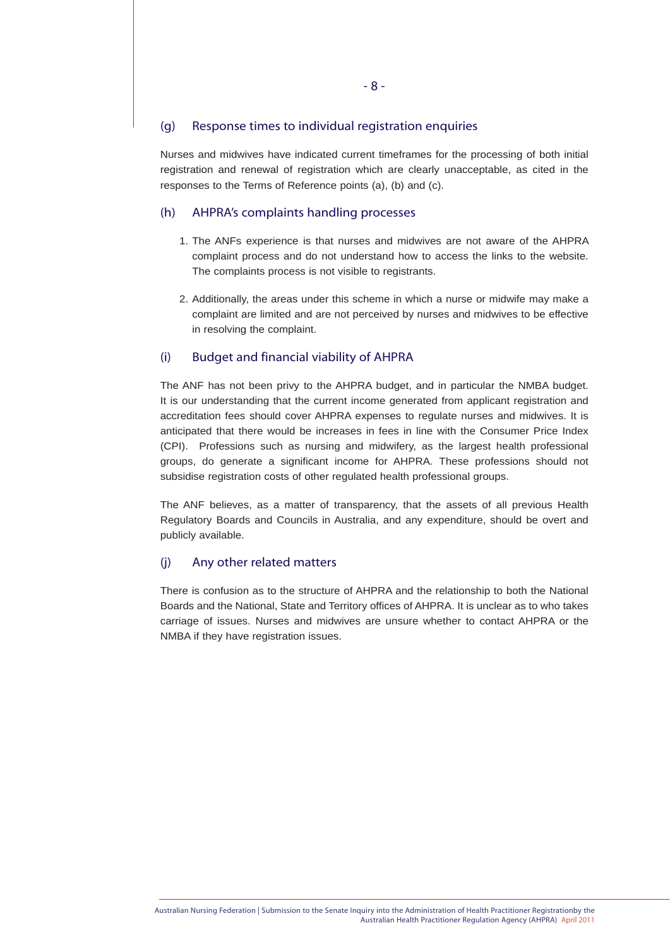#### (g) Response times to individual registration enquiries

Nurses and midwives have indicated current timeframes for the processing of both initial registration and renewal of registration which are clearly unacceptable, as cited in the responses to the Terms of Reference points (a), (b) and (c).

#### (h) AHPRA's complaints handling processes

- 1. The ANFs experience is that nurses and midwives are not aware of the AHPRA complaint process and do not understand how to access the links to the website. The complaints process is not visible to registrants.
- 2. Additionally, the areas under this scheme in which a nurse or midwife may make a complaint are limited and are not perceived by nurses and midwives to be effective in resolving the complaint.

#### (i) Budget and financial viability of AHPRA

The ANF has not been privy to the AHPRA budget, and in particular the NMBA budget. It is our understanding that the current income generated from applicant registration and accreditation fees should cover AHPRA expenses to regulate nurses and midwives. It is anticipated that there would be increases in fees in line with the Consumer Price Index (CPI). Professions such as nursing and midwifery, as the largest health professional groups, do generate a significant income for AHPRA. These professions should not subsidise registration costs of other regulated health professional groups.

The ANF believes, as a matter of transparency, that the assets of all previous Health Regulatory Boards and Councils in Australia, and any expenditure, should be overt and publicly available.

### (j) Any other related matters

There is confusion as to the structure of AHPRA and the relationship to both the National Boards and the National, State and Territory offices of AHPRA. It is unclear as to who takes carriage of issues. Nurses and midwives are unsure whether to contact AHPRA or the NMBA if they have registration issues.